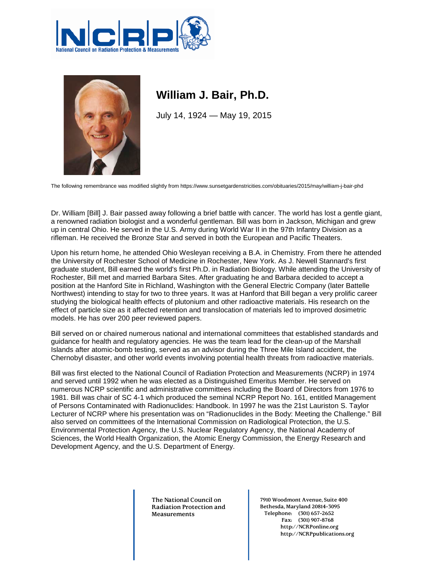



## **William J. Bair, Ph.D.**

July 14, 1924 — May 19, 2015

The following remembrance was modified slightly from https://www.sunsetgardenstricities.com/obituaries/2015/may/william-j-bair-phd

Dr. William [Bill] J. Bair passed away following a brief battle with cancer. The world has lost a gentle giant, a renowned radiation biologist and a wonderful gentleman. Bill was born in Jackson, Michigan and grew up in central Ohio. He served in the U.S. Army during World War II in the 97th Infantry Division as a rifleman. He received the Bronze Star and served in both the European and Pacific Theaters.

Upon his return home, he attended Ohio Wesleyan receiving a B.A. in Chemistry. From there he attended the University of Rochester School of Medicine in Rochester, New York. As J. Newell Stannard's first graduate student, Bill earned the world's first Ph.D. in Radiation Biology. While attending the University of Rochester, Bill met and married Barbara Sites. After graduating he and Barbara decided to accept a position at the Hanford Site in Richland, Washington with the General Electric Company (later Battelle Northwest) intending to stay for two to three years. It was at Hanford that Bill began a very prolific career studying the biological health effects of plutonium and other radioactive materials. His research on the effect of particle size as it affected retention and translocation of materials led to improved dosimetric models. He has over 200 peer reviewed papers.

Bill served on or chaired numerous national and international committees that established standards and guidance for health and regulatory agencies. He was the team lead for the clean-up of the Marshall Islands after atomic-bomb testing, served as an advisor during the Three Mile Island accident, the Chernobyl disaster, and other world events involving potential health threats from radioactive materials.

Bill was first elected to the National Council of Radiation Protection and Measurements (NCRP) in 1974 and served until 1992 when he was elected as a Distinguished Emeritus Member. He served on numerous NCRP scientific and administrative committees including the Board of Directors from 1976 to 1981. Bill was chair of SC 4-1 which produced the seminal NCRP Report No. 161, entitled Management of Persons Contaminated with Radionuclides: Handbook. In 1997 he was the 21st Lauriston S. Taylor Lecturer of NCRP where his presentation was on "Radionuclides in the Body: Meeting the Challenge." Bill also served on committees of the International Commission on Radiological Protection, the U.S. Environmental Protection Agency, the U.S. Nuclear Regulatory Agency, the National Academy of Sciences, the World Health Organization, the Atomic Energy Commission, the Energy Research and Development Agency, and the U.S. Department of Energy.

> **The National Council on Radiation Protection and Measurements**

**7910 Woodmont Avenue, Suite 400 Bethesda, Maryland 20814-3095 Telephone: (301) 657-2652 Fax: (301) 907-8768 http://NCRPonline.org http://NCRPpublications.org**